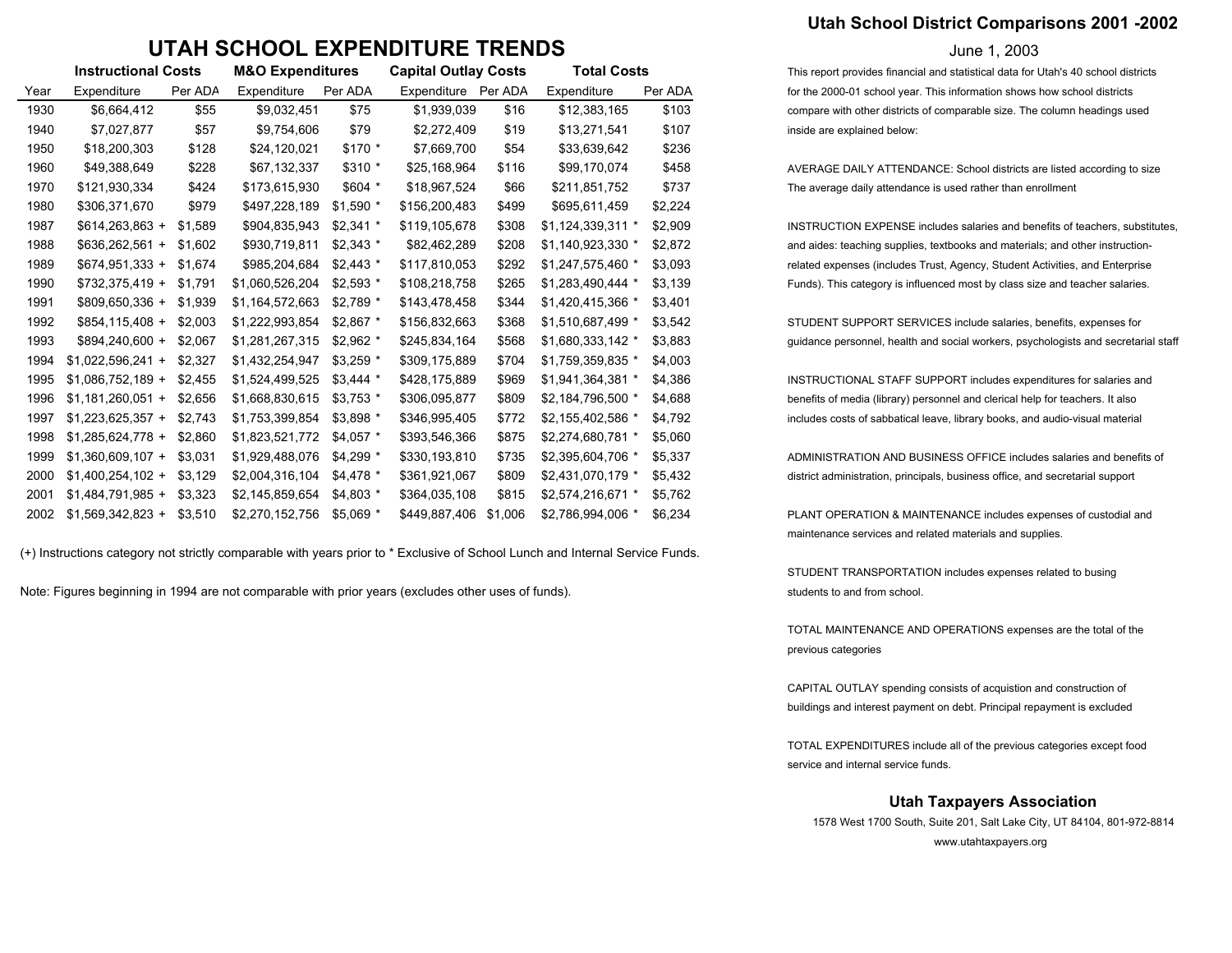## **UTAH SCHOOL EXPENDITURE TRENDS**

|      | <b>Instructional Costs</b> |         | <b>M&amp;O Expenditures</b> |            | <b>Capital Outlay Costs</b> |         | <b>Total Costs</b> |         |  |  |
|------|----------------------------|---------|-----------------------------|------------|-----------------------------|---------|--------------------|---------|--|--|
| Year | Expenditure                | Per ADA | Expenditure                 | Per ADA    | Expenditure                 | Per ADA | Expenditure        | Per ADA |  |  |
| 1930 | \$6,664,412                | \$55    | \$9,032,451                 | \$75       | \$1,939,039                 | \$16    | \$12,383,165       | \$103   |  |  |
| 1940 | \$7,027,877                | \$57    | \$9,754,606                 | \$79       | \$2,272,409                 | \$19    | \$13,271,541       | \$107   |  |  |
| 1950 | \$18,200,303               | \$128   | \$24,120,021                | \$170 *    | \$7,669,700                 | \$54    | \$33,639,642       | \$236   |  |  |
| 1960 | \$49,388,649               | \$228   | \$67,132,337                | \$310 *    | \$25,168,964                | \$116   | \$99,170,074       | \$458   |  |  |
| 1970 | \$121,930,334              | \$424   | \$173,615,930               | $$604$ *   | \$18,967,524                | \$66    | \$211,851,752      | \$737   |  |  |
| 1980 | \$306,371,670              | \$979   | \$497,228,189               | $$1,590$ * | \$156,200,483               | \$499   | \$695,611,459      | \$2,224 |  |  |
| 1987 | $$614,263,863 +$           | \$1,589 | \$904,835,943               | $$2,341$ * | \$119,105,678               | \$308   | \$1,124,339,311 *  | \$2,909 |  |  |
| 1988 | $$636,262,561 +$           | \$1,602 | \$930,719,811               | $$2,343$ * | \$82,462,289                | \$208   | \$1,140,923,330 *  | \$2,872 |  |  |
| 1989 | $$674,951,333 +$           | \$1,674 | \$985,204,684               | $$2,443$ * | \$117,810,053               | \$292   | \$1,247,575,460 *  | \$3,093 |  |  |
| 1990 | $$732,375,419 +$           | \$1,791 | \$1,060,526,204             | $$2,593$ * | \$108,218,758               | \$265   | \$1,283,490,444 *  | \$3,139 |  |  |
| 1991 | \$809,650,336 +            | \$1,939 | \$1,164,572,663             | \$2,789 *  | \$143,478,458               | \$344   | \$1,420,415,366 *  | \$3,401 |  |  |
| 1992 | $$854,115,408 +$           | \$2,003 | \$1,222,993,854             | $$2,867$ * | \$156,832,663               | \$368   | \$1,510,687,499 *  | \$3,542 |  |  |
| 1993 | \$894,240,600 +            | \$2,067 | \$1,281,267,315             | $$2,962$ * | \$245,834,164               | \$568   | \$1,680,333,142 *  | \$3,883 |  |  |
| 1994 | $$1,022,596,241 +$         | \$2,327 | \$1,432,254,947             | $$3,259$ * | \$309,175,889               | \$704   | \$1,759,359,835 *  | \$4,003 |  |  |
| 1995 | $$1,086,752,189 +$         | \$2,455 | \$1,524,499,525             | $$3,444$ * | \$428,175,889               | \$969   | \$1,941,364,381 *  | \$4,386 |  |  |
| 1996 | $$1,181,260,051 +$         | \$2,656 | \$1,668,830,615             | $$3,753$ * | \$306,095,877               | \$809   | \$2,184,796,500 *  | \$4,688 |  |  |
| 1997 | $$1,223,625,357 +$         | \$2,743 | \$1,753,399,854             | \$3,898 *  | \$346,995,405               | \$772   | \$2,155,402,586 *  | \$4,792 |  |  |
| 1998 | $$1,285,624,778 +$         | \$2,860 | \$1,823,521,772             | $$4,057$ * | \$393,546,366               | \$875   | \$2,274,680,781 *  | \$5,060 |  |  |
| 1999 | $$1,360,609,107 +$         | \$3,031 | \$1,929,488,076             | $$4,299$ * | \$330,193,810               | \$735   | \$2,395,604,706 *  | \$5,337 |  |  |
| 2000 | $$1,400,254,102 +$         | \$3,129 | \$2,004,316,104             | \$4,478 *  | \$361,921,067               | \$809   | \$2,431,070,179 *  | \$5,432 |  |  |
| 2001 | $$1,484,791,985 +$         | \$3.323 | \$2,145,859,654             | $$4,803$ * | \$364,035,108               | \$815   | \$2,574,216,671 *  | \$5,762 |  |  |
| 2002 | $$1,569,342,823 +$         | \$3,510 | \$2,270,152,756             | $$5,069$ * | \$449,887,406               | \$1,006 | \$2,786,994,006 *  | \$6,234 |  |  |

(+) Instructions category not strictly comparable with years prior to \* Exclusive of School Lunch and Internal Service Funds.

Note: Figures beginning in 1994 are not comparable with prior years (excludes other uses of funds). Students to and from school.

### **Utah School District Comparisons 2001 -2002**

#### June 1, 2003

This report provides financial and statistical data for Utah's 40 school districts for the 2000-01 school year. This information shows how school districts compare with other districts of comparable size. The column headings used inside are explained below:

AVERAGE DAILY ATTENDANCE: School districts are listed according to size The average daily attendance is used rather than enrollment

 $INSTRUCTION EXPENSE includes salaries and benefits of teachers, substitutes.$ and aides: teaching supplies, textbooks and materials; and other instructionrelated expenses (includes Trust, Agency, Student Activities, and Enterprise Funds). This category is influenced most by class size and teacher salaries.

STUDENT SUPPORT SERVICES include salaries, benefits, expenses for guidance personnel, health and social workers, psychologists and secretarial staff

INSTRUCTIONAL STAFF SUPPORT includes expenditures for salaries and benefits of media (library) personnel and clerical help for teachers. It also includes costs of sabbatical leave, library books, and audio-visual material

ADMINISTRATION AND BUSINESS OFFICE includes salaries and benefits of district administration, principals, business office, and secretarial support

PLANT OPERATION & MAINTENANCE includes expenses of custodial and maintenance services and related materials and supplies.

STUDENT TRANSPORTATION includes expenses related to busing

TOTAL MAINTENANCE AND OPERATIONS expenses are the total of the previous categories

CAPITAL OUTLAY spending consists of acquistion and construction of buildings and interest payment on debt. Principal repayment is excluded

TOTAL EXPENDITURES include all of the previous categories except food service and internal service funds.

#### **Utah Taxpayers Association**

1578 West 1700 South, Suite 201, Salt Lake City, UT 84104, 801-972-8814 www.utahtaxpayers.org